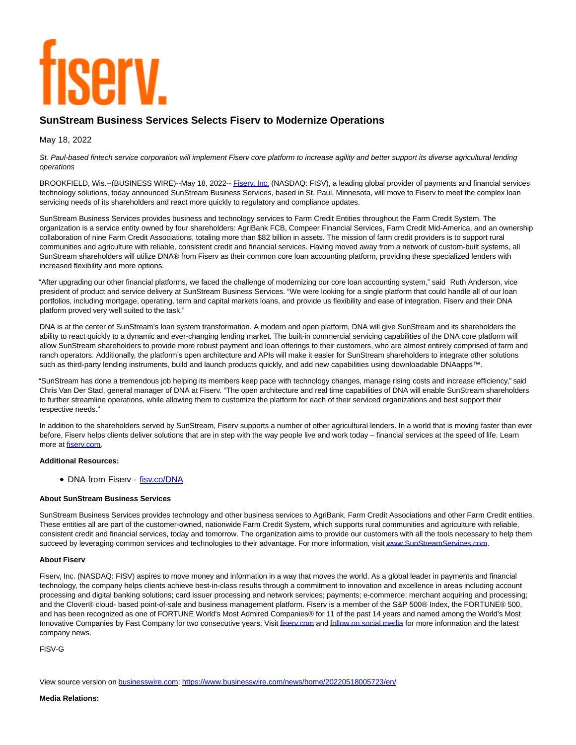# **TISEIV**

# **SunStream Business Services Selects Fiserv to Modernize Operations**

May 18, 2022

St. Paul-based fintech service corporation will implement Fiserv core platform to increase agility and better support its diverse agricultural lending operations

BROOKFIELD, Wis.--(BUSINESS WIRE)--May 18, 2022-- Fisery, Inc. (NASDAQ: FISV), a leading global provider of payments and financial services technology solutions, today announced SunStream Business Services, based in St. Paul, Minnesota, will move to Fiserv to meet the complex loan servicing needs of its shareholders and react more quickly to regulatory and compliance updates.

SunStream Business Services provides business and technology services to Farm Credit Entities throughout the Farm Credit System. The organization is a service entity owned by four shareholders: AgriBank FCB, Compeer Financial Services, Farm Credit Mid-America, and an ownership collaboration of nine Farm Credit Associations, totaling more than \$82 billion in assets. The mission of farm credit providers is to support rural communities and agriculture with reliable, consistent credit and financial services. Having moved away from a network of custom-built systems, all SunStream shareholders will utilize DNA® from Fiserv as their common core loan accounting platform, providing these specialized lenders with increased flexibility and more options.

"After upgrading our other financial platforms, we faced the challenge of modernizing our core loan accounting system," said Ruth Anderson, vice president of product and service delivery at SunStream Business Services. "We were looking for a single platform that could handle all of our loan portfolios, including mortgage, operating, term and capital markets loans, and provide us flexibility and ease of integration. Fiserv and their DNA platform proved very well suited to the task."

DNA is at the center of SunStream's loan system transformation. A modern and open platform, DNA will give SunStream and its shareholders the ability to react quickly to a dynamic and ever-changing lending market. The built-in commercial servicing capabilities of the DNA core platform will allow SunStream shareholders to provide more robust payment and loan offerings to their customers, who are almost entirely comprised of farm and ranch operators. Additionally, the platform's open architecture and APIs will make it easier for SunStream shareholders to integrate other solutions such as third-party lending instruments, build and launch products quickly, and add new capabilities using downloadable DNAapps™.

"SunStream has done a tremendous job helping its members keep pace with technology changes, manage rising costs and increase efficiency," said Chris Van Der Stad, general manager of DNA at Fiserv. "The open architecture and real time capabilities of DNA will enable SunStream shareholders to further streamline operations, while allowing them to customize the platform for each of their serviced organizations and best support their respective needs."

In addition to the shareholders served by SunStream, Fiserv supports a number of other agricultural lenders. In a world that is moving faster than ever before, Fiserv helps clients deliver solutions that are in step with the way people live and work today – financial services at the speed of life. Learn more at [fiserv.com.](https://cts.businesswire.com/ct/CT?id=smartlink&url=http%3A%2F%2Fwww.fiserv.com%2F&esheet=52723427&newsitemid=20220518005723&lan=en-US&anchor=fiserv.com&index=2&md5=32f1c972ea5c9365da58ccbf898b0231)

### **Additional Resources:**

• DNA from Fiserv - [fisv.co/DNA](https://cts.businesswire.com/ct/CT?id=smartlink&url=https%3A%2F%2Ffisv.co%2FDNA&esheet=52723427&newsitemid=20220518005723&lan=en-US&anchor=fisv.co%2FDNA&index=3&md5=29d390d5a32ff16d6136fcfac0854d6c)

### **About SunStream Business Services**

SunStream Business Services provides technology and other business services to AgriBank, Farm Credit Associations and other Farm Credit entities. These entities all are part of the customer-owned, nationwide Farm Credit System, which supports rural communities and agriculture with reliable, consistent credit and financial services, today and tomorrow. The organization aims to provide our customers with all the tools necessary to help them succeed by leveraging common services and technologies to their advantage. For more information, visi[t www.SunStreamServices.com.](https://cts.businesswire.com/ct/CT?id=smartlink&url=http%3A%2F%2Fwww.sunstreamservices.com%2F&esheet=52723427&newsitemid=20220518005723&lan=en-US&anchor=www.SunStreamServices.com&index=4&md5=4b92869fee16f9aba14d7856f281e26e)

## **About Fiserv**

Fiserv, Inc. (NASDAQ: FISV) aspires to move money and information in a way that moves the world. As a global leader in payments and financial technology, the company helps clients achieve best-in-class results through a commitment to innovation and excellence in areas including account processing and digital banking solutions; card issuer processing and network services; payments; e-commerce; merchant acquiring and processing; and the Clover® cloud- based point-of-sale and business management platform. Fiserv is a member of the S&P 500® Index, the FORTUNE® 500, and has been recognized as one of FORTUNE World's Most Admired Companies® for 11 of the past 14 years and named among the World's Most Innovative Companies by Fast Company for two consecutive years. Visit fisery.com an[d follow on social media f](https://cts.businesswire.com/ct/CT?id=smartlink&url=https%3A%2F%2Fwww.fiserv.com%2Fen%2Fabout-fiserv%2Fsocial-media.html&esheet=52723427&newsitemid=20220518005723&lan=en-US&anchor=follow+on+social+media&index=6&md5=1f414831631430815a0ad8b6a8aea8fc)or more information and the latest company news.

FISV-G

View source version on [businesswire.com:](http://businesswire.com/)<https://www.businesswire.com/news/home/20220518005723/en/>

### **Media Relations:**